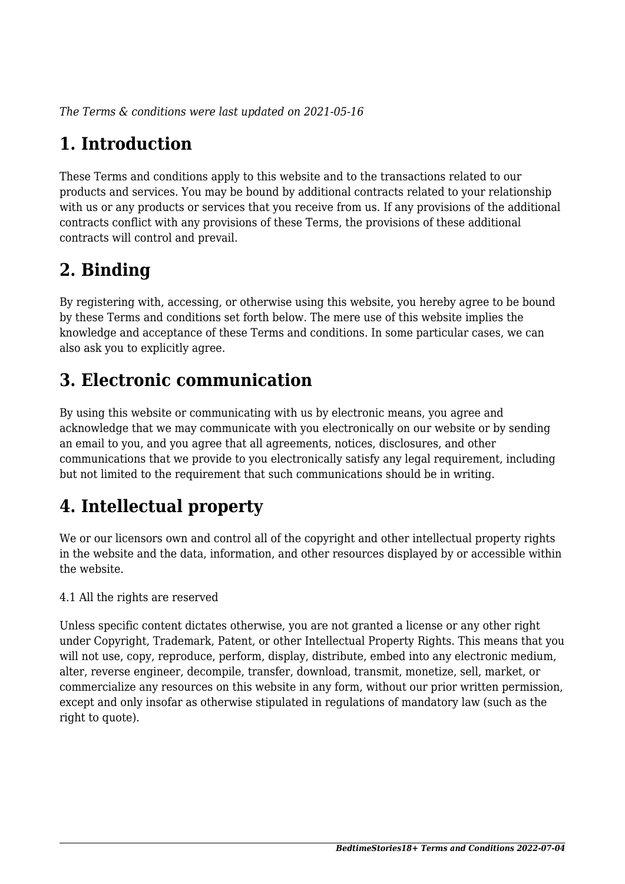*The Terms & conditions were last updated on 2021-05-16*

# **1. Introduction**

These Terms and conditions apply to this website and to the transactions related to our products and services. You may be bound by additional contracts related to your relationship with us or any products or services that you receive from us. If any provisions of the additional contracts conflict with any provisions of these Terms, the provisions of these additional contracts will control and prevail.

# **2. Binding**

By registering with, accessing, or otherwise using this website, you hereby agree to be bound by these Terms and conditions set forth below. The mere use of this website implies the knowledge and acceptance of these Terms and conditions. In some particular cases, we can also ask you to explicitly agree.

# **3. Electronic communication**

By using this website or communicating with us by electronic means, you agree and acknowledge that we may communicate with you electronically on our website or by sending an email to you, and you agree that all agreements, notices, disclosures, and other communications that we provide to you electronically satisfy any legal requirement, including but not limited to the requirement that such communications should be in writing.

# **4. Intellectual property**

We or our licensors own and control all of the copyright and other intellectual property rights in the website and the data, information, and other resources displayed by or accessible within the website.

4.1 All the rights are reserved

Unless specific content dictates otherwise, you are not granted a license or any other right under Copyright, Trademark, Patent, or other Intellectual Property Rights. This means that you will not use, copy, reproduce, perform, display, distribute, embed into any electronic medium, alter, reverse engineer, decompile, transfer, download, transmit, monetize, sell, market, or commercialize any resources on this website in any form, without our prior written permission, except and only insofar as otherwise stipulated in regulations of mandatory law (such as the right to quote).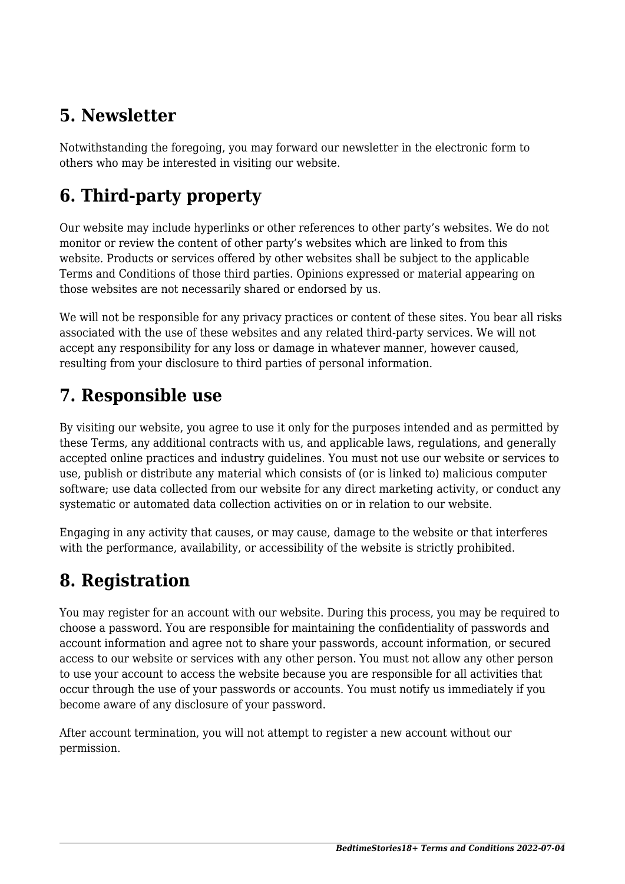## **5. Newsletter**

Notwithstanding the foregoing, you may forward our newsletter in the electronic form to others who may be interested in visiting our website.

# **6. Third-party property**

Our website may include hyperlinks or other references to other party's websites. We do not monitor or review the content of other party's websites which are linked to from this website. Products or services offered by other websites shall be subject to the applicable Terms and Conditions of those third parties. Opinions expressed or material appearing on those websites are not necessarily shared or endorsed by us.

We will not be responsible for any privacy practices or content of these sites. You bear all risks associated with the use of these websites and any related third-party services. We will not accept any responsibility for any loss or damage in whatever manner, however caused, resulting from your disclosure to third parties of personal information.

#### **7. Responsible use**

By visiting our website, you agree to use it only for the purposes intended and as permitted by these Terms, any additional contracts with us, and applicable laws, regulations, and generally accepted online practices and industry guidelines. You must not use our website or services to use, publish or distribute any material which consists of (or is linked to) malicious computer software; use data collected from our website for any direct marketing activity, or conduct any systematic or automated data collection activities on or in relation to our website.

Engaging in any activity that causes, or may cause, damage to the website or that interferes with the performance, availability, or accessibility of the website is strictly prohibited.

## **8. Registration**

You may register for an account with our website. During this process, you may be required to choose a password. You are responsible for maintaining the confidentiality of passwords and account information and agree not to share your passwords, account information, or secured access to our website or services with any other person. You must not allow any other person to use your account to access the website because you are responsible for all activities that occur through the use of your passwords or accounts. You must notify us immediately if you become aware of any disclosure of your password.

After account termination, you will not attempt to register a new account without our permission.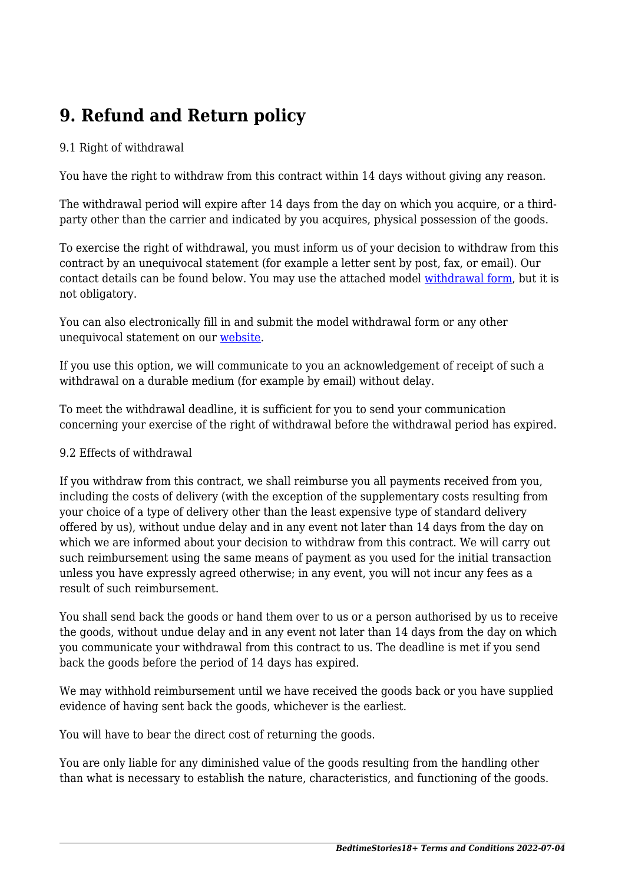# **9. Refund and Return policy**

#### 9.1 Right of withdrawal

You have the right to withdraw from this contract within 14 days without giving any reason.

The withdrawal period will expire after 14 days from the day on which you acquire, or a thirdparty other than the carrier and indicated by you acquires, physical possession of the goods.

To exercise the right of withdrawal, you must inform us of your decision to withdraw from this contract by an unequivocal statement (for example a letter sent by post, fax, or email). Our contact details can be found below. You may use the attached model [withdrawal form](https://www.bedtimestories18.art/wp-content/uploads/complianz/withdrawal-forms/withdrawal-form-en.pdf), but it is not obligatory.

You can also electronically fill in and submit the model withdrawal form or any other unequivocal statement on our [website](https://www.bedtimestories18.art/contacts/).

If you use this option, we will communicate to you an acknowledgement of receipt of such a withdrawal on a durable medium (for example by email) without delay.

To meet the withdrawal deadline, it is sufficient for you to send your communication concerning your exercise of the right of withdrawal before the withdrawal period has expired.

#### 9.2 Effects of withdrawal

If you withdraw from this contract, we shall reimburse you all payments received from you, including the costs of delivery (with the exception of the supplementary costs resulting from your choice of a type of delivery other than the least expensive type of standard delivery offered by us), without undue delay and in any event not later than 14 days from the day on which we are informed about your decision to withdraw from this contract. We will carry out such reimbursement using the same means of payment as you used for the initial transaction unless you have expressly agreed otherwise; in any event, you will not incur any fees as a result of such reimbursement.

You shall send back the goods or hand them over to us or a person authorised by us to receive the goods, without undue delay and in any event not later than 14 days from the day on which you communicate your withdrawal from this contract to us. The deadline is met if you send back the goods before the period of 14 days has expired.

We may withhold reimbursement until we have received the goods back or you have supplied evidence of having sent back the goods, whichever is the earliest.

You will have to bear the direct cost of returning the goods.

You are only liable for any diminished value of the goods resulting from the handling other than what is necessary to establish the nature, characteristics, and functioning of the goods.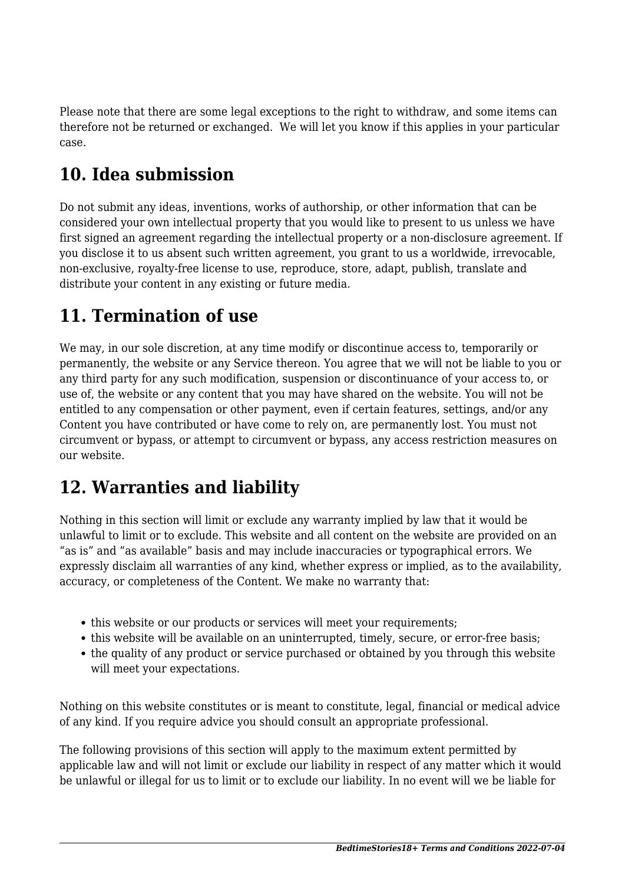Please note that there are some legal exceptions to the right to withdraw, and some items can therefore not be returned or exchanged. We will let you know if this applies in your particular case.

# **10. Idea submission**

Do not submit any ideas, inventions, works of authorship, or other information that can be considered your own intellectual property that you would like to present to us unless we have first signed an agreement regarding the intellectual property or a non-disclosure agreement. If you disclose it to us absent such written agreement, you grant to us a worldwide, irrevocable, non-exclusive, royalty-free license to use, reproduce, store, adapt, publish, translate and distribute your content in any existing or future media.

#### **11. Termination of use**

We may, in our sole discretion, at any time modify or discontinue access to, temporarily or permanently, the website or any Service thereon. You agree that we will not be liable to you or any third party for any such modification, suspension or discontinuance of your access to, or use of, the website or any content that you may have shared on the website. You will not be entitled to any compensation or other payment, even if certain features, settings, and/or any Content you have contributed or have come to rely on, are permanently lost. You must not circumvent or bypass, or attempt to circumvent or bypass, any access restriction measures on our website.

#### **12. Warranties and liability**

Nothing in this section will limit or exclude any warranty implied by law that it would be unlawful to limit or to exclude. This website and all content on the website are provided on an "as is" and "as available" basis and may include inaccuracies or typographical errors. We expressly disclaim all warranties of any kind, whether express or implied, as to the availability, accuracy, or completeness of the Content. We make no warranty that:

- this website or our products or services will meet your requirements;
- this website will be available on an uninterrupted, timely, secure, or error-free basis;
- the quality of any product or service purchased or obtained by you through this website will meet your expectations.

Nothing on this website constitutes or is meant to constitute, legal, financial or medical advice of any kind. If you require advice you should consult an appropriate professional.

The following provisions of this section will apply to the maximum extent permitted by applicable law and will not limit or exclude our liability in respect of any matter which it would be unlawful or illegal for us to limit or to exclude our liability. In no event will we be liable for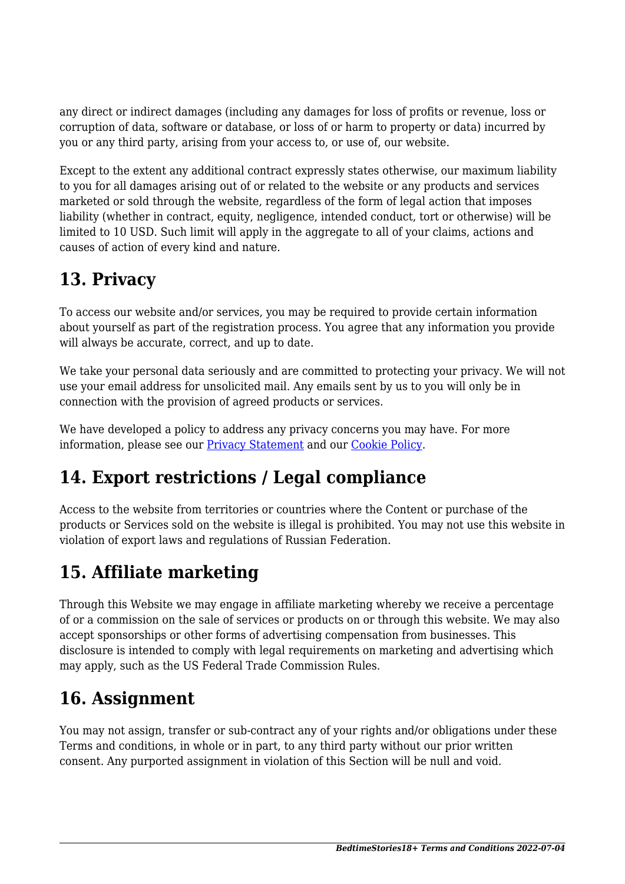any direct or indirect damages (including any damages for loss of profits or revenue, loss or corruption of data, software or database, or loss of or harm to property or data) incurred by you or any third party, arising from your access to, or use of, our website.

Except to the extent any additional contract expressly states otherwise, our maximum liability to you for all damages arising out of or related to the website or any products and services marketed or sold through the website, regardless of the form of legal action that imposes liability (whether in contract, equity, negligence, intended conduct, tort or otherwise) will be limited to 10 USD. Such limit will apply in the aggregate to all of your claims, actions and causes of action of every kind and nature.

# **13. Privacy**

To access our website and/or services, you may be required to provide certain information about yourself as part of the registration process. You agree that any information you provide will always be accurate, correct, and up to date.

We take your personal data seriously and are committed to protecting your privacy. We will not use your email address for unsolicited mail. Any emails sent by us to you will only be in connection with the provision of agreed products or services.

We have developed a policy to address any privacy concerns you may have. For more information, please see our Privacy Statement and our Cookie Policy.

## **14. Export restrictions / Legal compliance**

Access to the website from territories or countries where the Content or purchase of the products or Services sold on the website is illegal is prohibited. You may not use this website in violation of export laws and regulations of Russian Federation.

# **15. Affiliate marketing**

Through this Website we may engage in affiliate marketing whereby we receive a percentage of or a commission on the sale of services or products on or through this website. We may also accept sponsorships or other forms of advertising compensation from businesses. This disclosure is intended to comply with legal requirements on marketing and advertising which may apply, such as the US Federal Trade Commission Rules.

## **16. Assignment**

You may not assign, transfer or sub-contract any of your rights and/or obligations under these Terms and conditions, in whole or in part, to any third party without our prior written consent. Any purported assignment in violation of this Section will be null and void.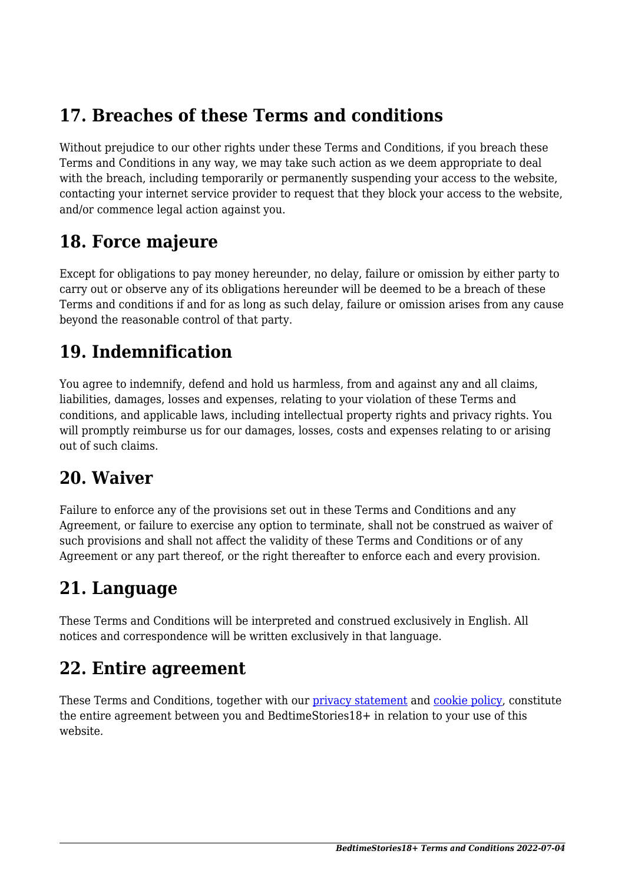#### **17. Breaches of these Terms and conditions**

Without prejudice to our other rights under these Terms and Conditions, if you breach these Terms and Conditions in any way, we may take such action as we deem appropriate to deal with the breach, including temporarily or permanently suspending your access to the website, contacting your internet service provider to request that they block your access to the website, and/or commence legal action against you.

#### **18. Force majeure**

Except for obligations to pay money hereunder, no delay, failure or omission by either party to carry out or observe any of its obligations hereunder will be deemed to be a breach of these Terms and conditions if and for as long as such delay, failure or omission arises from any cause beyond the reasonable control of that party.

#### **19. Indemnification**

You agree to indemnify, defend and hold us harmless, from and against any and all claims, liabilities, damages, losses and expenses, relating to your violation of these Terms and conditions, and applicable laws, including intellectual property rights and privacy rights. You will promptly reimburse us for our damages, losses, costs and expenses relating to or arising out of such claims.

#### **20. Waiver**

Failure to enforce any of the provisions set out in these Terms and Conditions and any Agreement, or failure to exercise any option to terminate, shall not be construed as waiver of such provisions and shall not affect the validity of these Terms and Conditions or of any Agreement or any part thereof, or the right thereafter to enforce each and every provision.

#### **21. Language**

These Terms and Conditions will be interpreted and construed exclusively in English. All notices and correspondence will be written exclusively in that language.

#### **22. Entire agreement**

These Terms and Conditions, together with our privacy statement and cookie policy, constitute the entire agreement between you and BedtimeStories18+ in relation to your use of this website.